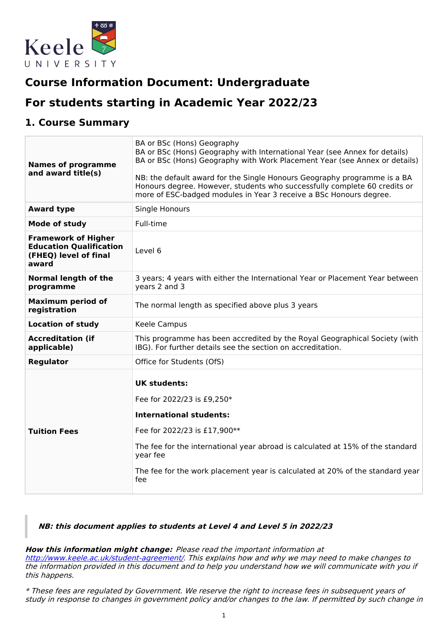

# **Course Information Document: Undergraduate**

# **For students starting in Academic Year 2022/23**

## **1. Course Summary**

| <b>Names of programme</b><br>and award title(s)                                                | BA or BSc (Hons) Geography<br>BA or BSc (Hons) Geography with International Year (see Annex for details)<br>BA or BSc (Hons) Geography with Work Placement Year (see Annex or details)<br>NB: the default award for the Single Honours Geography programme is a BA<br>Honours degree. However, students who successfully complete 60 credits or<br>more of ESC-badged modules in Year 3 receive a BSc Honours degree. |
|------------------------------------------------------------------------------------------------|-----------------------------------------------------------------------------------------------------------------------------------------------------------------------------------------------------------------------------------------------------------------------------------------------------------------------------------------------------------------------------------------------------------------------|
| <b>Award type</b>                                                                              | Single Honours                                                                                                                                                                                                                                                                                                                                                                                                        |
| <b>Mode of study</b>                                                                           | Full-time                                                                                                                                                                                                                                                                                                                                                                                                             |
| <b>Framework of Higher</b><br><b>Education Qualification</b><br>(FHEQ) level of final<br>award | Level 6                                                                                                                                                                                                                                                                                                                                                                                                               |
| <b>Normal length of the</b><br>programme                                                       | 3 years; 4 years with either the International Year or Placement Year between<br>years 2 and 3                                                                                                                                                                                                                                                                                                                        |
| <b>Maximum period of</b><br>registration                                                       | The normal length as specified above plus 3 years                                                                                                                                                                                                                                                                                                                                                                     |
| <b>Location of study</b>                                                                       | Keele Campus                                                                                                                                                                                                                                                                                                                                                                                                          |
| <b>Accreditation (if</b><br>applicable)                                                        | This programme has been accredited by the Royal Geographical Society (with<br>IBG). For further details see the section on accreditation.                                                                                                                                                                                                                                                                             |
| <b>Regulator</b>                                                                               | Office for Students (OfS)                                                                                                                                                                                                                                                                                                                                                                                             |
| <b>Tuition Fees</b>                                                                            | <b>UK students:</b><br>Fee for 2022/23 is £9,250*<br><b>International students:</b><br>Fee for 2022/23 is £17,900**<br>The fee for the international year abroad is calculated at 15% of the standard<br>year fee<br>The fee for the work placement year is calculated at 20% of the standard year<br>fee                                                                                                             |

### **NB: this document applies to students at Level 4 and Level 5 in 2022/23**

#### **How this information might change:** Please read the important information at

<http://www.keele.ac.uk/student-agreement/>. This explains how and why we may need to make changes to the information provided in this document and to help you understand how we will communicate with you if this happens.

\* These fees are regulated by Government. We reserve the right to increase fees in subsequent years of study in response to changes in government policy and/or changes to the law. If permitted by such change in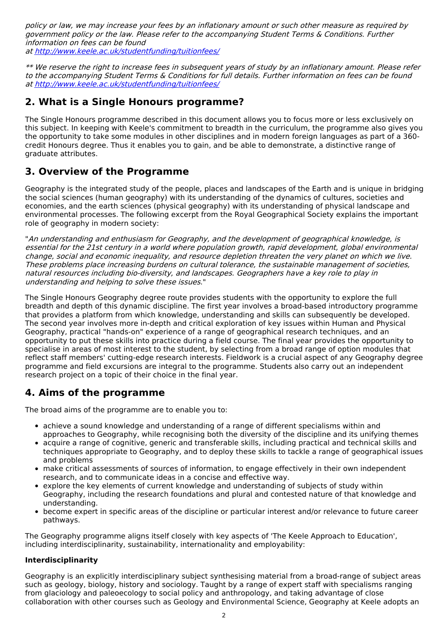policy or law, we may increase your fees by an inflationary amount or such other measure as required by government policy or the law. Please refer to the accompanying Student Terms & Conditions. Further information on fees can be found at <http://www.keele.ac.uk/studentfunding/tuitionfees/>

\*\* We reserve the right to increase fees in subsequent years of study by an inflationary amount. Please refer to the accompanying Student Terms & Conditions for full details. Further information on fees can be found at <http://www.keele.ac.uk/studentfunding/tuitionfees/>

## **2. What is a Single Honours programme?**

The Single Honours programme described in this document allows you to focus more or less exclusively on this subject. In keeping with Keele's commitment to breadth in the curriculum, the programme also gives you the opportunity to take some modules in other disciplines and in modern foreign languages as part of a 360 credit Honours degree. Thus it enables you to gain, and be able to demonstrate, a distinctive range of graduate attributes.

## **3. Overview of the Programme**

Geography is the integrated study of the people, places and landscapes of the Earth and is unique in bridging the social sciences (human geography) with its understanding of the dynamics of cultures, societies and economies, and the earth sciences (physical geography) with its understanding of physical landscape and environmental processes. The following excerpt from the Royal Geographical Society explains the important role of geography in modern society:

"An understanding and enthusiasm for Geography, and the development of geographical knowledge, is essential for the 21st century in <sup>a</sup> world where population growth, rapid development, global environmental change, social and economic inequality, and resource depletion threaten the very planet on which we live. These problems place increasing burdens on cultural tolerance, the sustainable management of societies, natural resources including bio-diversity, and landscapes. Geographers have <sup>a</sup> key role to play in understanding and helping to solve these issues."

The Single Honours Geography degree route provides students with the opportunity to explore the full breadth and depth of this dynamic discipline. The first year involves a broad-based introductory programme that provides a platform from which knowledge, understanding and skills can subsequently be developed. The second year involves more in-depth and critical exploration of key issues within Human and Physical Geography, practical "hands-on" experience of a range of geographical research techniques, and an opportunity to put these skills into practice during a field course. The final year provides the opportunity to specialise in areas of most interest to the student, by selecting from a broad range of option modules that reflect staff members' cutting-edge research interests. Fieldwork is a crucial aspect of any Geography degree programme and field excursions are integral to the programme. Students also carry out an independent research project on a topic of their choice in the final year.

## **4. Aims of the programme**

The broad aims of the programme are to enable you to:

- achieve a sound knowledge and understanding of a range of different specialisms within and approaches to Geography, while recognising both the diversity of the discipline and its unifying themes
- acquire a range of cognitive, generic and transferable skills, including practical and technical skills and techniques appropriate to Geography, and to deploy these skills to tackle a range of geographical issues and problems
- make critical assessments of sources of information, to engage effectively in their own independent research, and to communicate ideas in a concise and effective way.
- explore the key elements of current knowledge and understanding of subjects of study within Geography, including the research foundations and plural and contested nature of that knowledge and understanding.
- become expert in specific areas of the discipline or particular interest and/or relevance to future career pathways.

The Geography programme aligns itself closely with key aspects of 'The Keele Approach to Education', including interdisciplinarity, sustainability, internationality and employability:

#### **Interdisciplinarity**

Geography is an explicitly interdisciplinary subject synthesising material from a broad-range of subject areas such as geology, biology, history and sociology. Taught by a range of expert staff with specialisms ranging from glaciology and paleoecology to social policy and anthropology, and taking advantage of close collaboration with other courses such as Geology and Environmental Science, Geography at Keele adopts an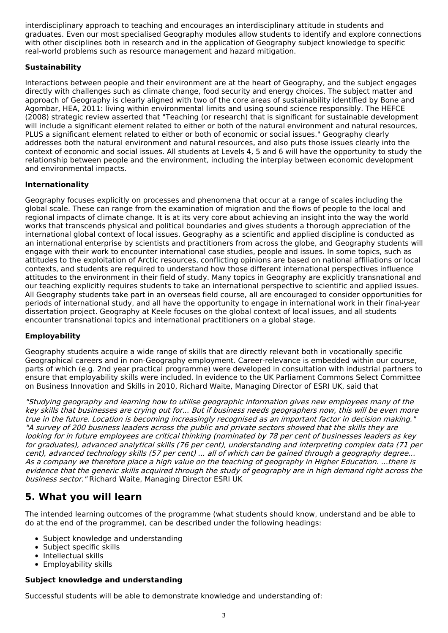interdisciplinary approach to teaching and encourages an interdisciplinary attitude in students and graduates. Even our most specialised Geography modules allow students to identify and explore connections with other disciplines both in research and in the application of Geography subject knowledge to specific real-world problems such as resource management and hazard mitigation.

### **Sustainability**

Interactions between people and their environment are at the heart of Geography, and the subject engages directly with challenges such as climate change, food security and energy choices. The subject matter and approach of Geography is clearly aligned with two of the core areas of sustainability identified by Bone and Agombar, HEA, 2011: living within environmental limits and using sound science responsibly. The HEFCE (2008) strategic review asserted that "Teaching (or research) that is significant for sustainable development will include a significant element related to either or both of the natural environment and natural resources, PLUS a significant element related to either or both of economic or social issues." Geography clearly addresses both the natural environment and natural resources, and also puts those issues clearly into the context of economic and social issues. All students at Levels 4, 5 and 6 will have the opportunity to study the relationship between people and the environment, including the interplay between economic development and environmental impacts.

### **Internationality**

Geography focuses explicitly on processes and phenomena that occur at a range of scales including the global scale. These can range from the examination of migration and the flows of people to the local and regional impacts of climate change. It is at its very core about achieving an insight into the way the world works that transcends physical and political boundaries and gives students a thorough appreciation of the international global context of local issues. Geography as a scientific and applied discipline is conducted as an international enterprise by scientists and practitioners from across the globe, and Geography students will engage with their work to encounter international case studies, people and issues. In some topics, such as attitudes to the exploitation of Arctic resources, conflicting opinions are based on national affiliations or local contexts, and students are required to understand how those different international perspectives influence attitudes to the environment in their field of study. Many topics in Geography are explicitly transnational and our teaching explicitly requires students to take an international perspective to scientific and applied issues. All Geography students take part in an overseas field course, all are encouraged to consider opportunities for periods of international study, and all have the opportunity to engage in international work in their final-year dissertation project. Geography at Keele focuses on the global context of local issues, and all students encounter transnational topics and international practitioners on a global stage.

### **Employability**

Geography students acquire a wide range of skills that are directly relevant both in vocationally specific Geographical careers and in non-Geography employment. Career-relevance is embedded within our course, parts of which (e.g. 2nd year practical programme) were developed in consultation with industrial partners to ensure that employability skills were included. In evidence to the UK Parliament Commons Select Committee on Business Innovation and Skills in 2010, Richard Waite, Managing Director of ESRI UK, said that

"Studying geography and learning how to utilise geographic information gives new employees many of the key skills that businesses are crying out for... But if business needs geographers now, this will be even more true in the future. Location is becoming increasingly recognised as an important factor in decision making." "A survey of 200 business leaders across the public and private sectors showed that the skills they are looking for in future employees are critical thinking (nominated by 78 per cent of businesses leaders as key for graduates), advanced analytical skills (76 per cent), understanding and interpreting complex data (71 per cent), advanced technology skills (57 per cent) ... all of which can be gained through <sup>a</sup> geography degree... As <sup>a</sup> company we therefore place <sup>a</sup> high value on the teaching of geography in Higher Education. ...there is evidence that the generic skills acquired through the study of geography are in high demand right across the business sector." Richard Waite, Managing Director ESRI UK

## **5. What you will learn**

The intended learning outcomes of the programme (what students should know, understand and be able to do at the end of the programme), can be described under the following headings:

- Subject knowledge and understanding
- Subject specific skills
- Intellectual skills
- Employability skills

#### **Subject knowledge and understanding**

Successful students will be able to demonstrate knowledge and understanding of: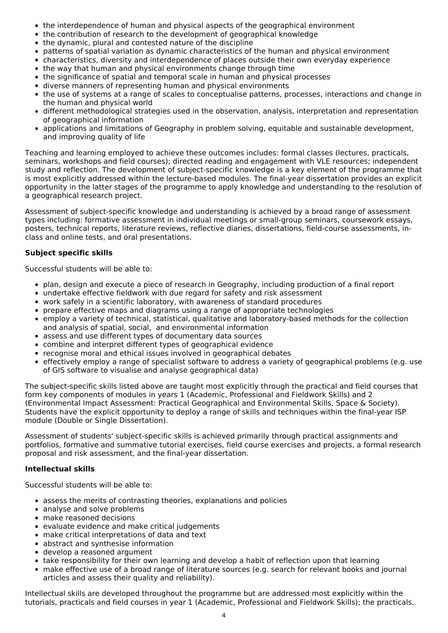- the interdependence of human and physical aspects of the geographical environment
- the contribution of research to the development of geographical knowledge
- the dynamic, plural and contested nature of the discipline
- patterns of spatial variation as dynamic characteristics of the human and physical environment
- characteristics, diversity and interdependence of places outside their own everyday experience
- the way that human and physical environments change through time
- the significance of spatial and temporal scale in human and physical processes
- diverse manners of representing human and physical environments
- the use of systems at a range of scales to conceptualise patterns, processes, interactions and change in the human and physical world
- different methodological strategies used in the observation, analysis, interpretation and representation of geographical information
- applications and limitations of Geography in problem solving, equitable and sustainable development, and improving quality of life

Teaching and learning employed to achieve these outcomes includes: formal classes (lectures, practicals, seminars, workshops and field courses); directed reading and engagement with VLE resources; independent study and reflection. The development of subject-specific knowledge is a key element of the programme that is most explicitly addressed within the lecture-based modules. The final-year dissertation provides an explicit opportunity in the latter stages of the programme to apply knowledge and understanding to the resolution of a geographical research project.

Assessment of subject-specific knowledge and understanding is achieved by a broad range of assessment types including: formative assessment in individual meetings or small-group seminars, coursework essays, posters, technical reports, literature reviews, reflective diaries, dissertations, field-course assessments, inclass and online tests, and oral presentations.

### **Subject specific skills**

Successful students will be able to:

- plan, design and execute a piece of research in Geography, including production of a final report
- undertake effective fieldwork with due regard for safety and risk assessment
- work safely in a scientific laboratory, with awareness of standard procedures
- prepare effective maps and diagrams using a range of appropriate technologies
- employ a variety of technical, statistical, qualitative and laboratory-based methods for the collection and analysis of spatial, social, and environmental information
- assess and use different types of documentary data sources
- combine and interpret different types of geographical evidence
- recognise moral and ethical issues involved in geographical debates
- effectively employ a range of specialist software to address a variety of geographical problems (e.g. use of GIS software to visualise and analyse geographical data)

The subject-specific skills listed above are taught most explicitly through the practical and field courses that form key components of modules in years 1 (Academic, Professional and Fieldwork Skills) and 2 (Environmental Impact Assessment: Practical Geographical and Environmental Skills, Space & Society). Students have the explicit opportunity to deploy a range of skills and techniques within the final-year ISP module (Double or Single Dissertation).

Assessment of students' subject-specific skills is achieved primarily through practical assignments and portfolios, formative and summative tutorial exercises, field course exercises and projects, a formal research proposal and risk assessment, and the final-year dissertation.

#### **Intellectual skills**

Successful students will be able to:

- assess the merits of contrasting theories, explanations and policies
- analyse and solve problems
- make reasoned decisions
- evaluate evidence and make critical judgements
- make critical interpretations of data and text
- abstract and synthesise information
- develop a reasoned argument
- take responsibility for their own learning and develop a habit of reflection upon that learning
- make effective use of a broad range of literature sources (e.g. search for relevant books and journal  $\bullet$ articles and assess their quality and reliability).

Intellectual skills are developed throughout the programme but are addressed most explicitly within the tutorials, practicals and field courses in year 1 (Academic, Professional and Fieldwork Skills); the practicals,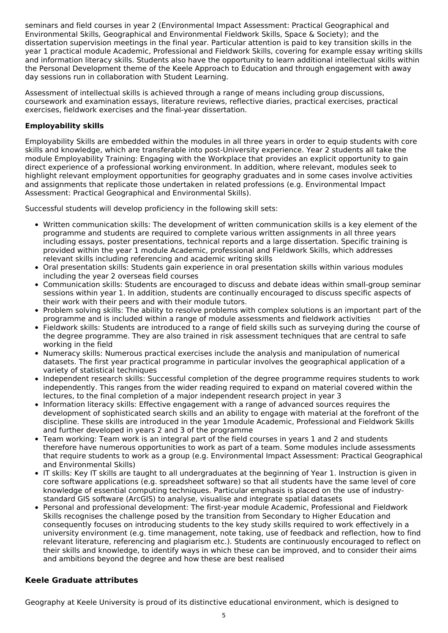seminars and field courses in year 2 (Environmental Impact Assessment: Practical Geographical and Environmental Skills, Geographical and Environmental Fieldwork Skills, Space & Society); and the dissertation supervision meetings in the final year. Particular attention is paid to key transition skills in the year 1 practical module Academic, Professional and Fieldwork Skills, covering for example essay writing skills and information literacy skills. Students also have the opportunity to learn additional intellectual skills within the Personal Development theme of the Keele Approach to Education and through engagement with away day sessions run in collaboration with Student Learning.

Assessment of intellectual skills is achieved through a range of means including group discussions, coursework and examination essays, literature reviews, reflective diaries, practical exercises, practical exercises, fieldwork exercises and the final-year dissertation.

### **Employability skills**

Employability Skills are embedded within the modules in all three years in order to equip students with core skills and knowledge, which are transferable into post-University experience. Year 2 students all take the module Employability Training: Engaging with the Workplace that provides an explicit opportunity to gain direct experience of a professional working environment. In addition, where relevant, modules seek to highlight relevant employment opportunities for geography graduates and in some cases involve activities and assignments that replicate those undertaken in related professions (e.g. Environmental Impact Assessment: Practical Geographical and Environmental Skills).

Successful students will develop proficiency in the following skill sets:

- Written communication skills: The development of written communication skills is a key element of the programme and students are required to complete various written assignments in all three years including essays, poster presentations, technical reports and a large dissertation. Specific training is provided within the year 1 module Academic, professional and Fieldwork Skills, which addresses relevant skills including referencing and academic writing skills
- Oral presentation skills: Students gain experience in oral presentation skills within various modules including the year 2 overseas field courses
- Communication skills: Students are encouraged to discuss and debate ideas within small-group seminar sessions within year 1. In addition, students are continually encouraged to discuss specific aspects of their work with their peers and with their module tutors.
- Problem solving skills: The ability to resolve problems with complex solutions is an important part of the programme and is included within a range of module assessments and fieldwork activities
- Fieldwork skills: Students are introduced to a range of field skills such as surveying during the course of the degree programme. They are also trained in risk assessment techniques that are central to safe working in the field
- Numeracy skills: Numerous practical exercises include the analysis and manipulation of numerical datasets. The first year practical programme in particular involves the geographical application of a variety of statistical techniques
- Independent research skills: Successful completion of the degree programme requires students to work independently. This ranges from the wider reading required to expand on material covered within the lectures, to the final completion of a major independent research project in year 3
- Information literacy skills: Effective engagement with a range of advanced sources requires the development of sophisticated search skills and an ability to engage with material at the forefront of the discipline. These skills are introduced in the year 1module Academic, Professional and Fieldwork Skills and further developed in years 2 and 3 of the programme
- Team working: Team work is an integral part of the field courses in years 1 and 2 and students therefore have numerous opportunities to work as part of a team. Some modules include assessments that require students to work as a group (e.g. Environmental Impact Assessment: Practical Geographical and Environmental Skills)
- IT skills: Key IT skills are taught to all undergraduates at the beginning of Year 1. Instruction is given in core software applications (e.g. spreadsheet software) so that all students have the same level of core knowledge of essential computing techniques. Particular emphasis is placed on the use of industrystandard GIS software (ArcGIS) to analyse, visualise and integrate spatial datasets
- Personal and professional development: The first-year module Academic, Professional and Fieldwork Skills recognises the challenge posed by the transition from Secondary to Higher Education and consequently focuses on introducing students to the key study skills required to work effectively in a university environment (e.g. time management, note taking, use of feedback and reflection, how to find relevant literature, referencing and plagiarism etc.). Students are continuously encouraged to reflect on their skills and knowledge, to identify ways in which these can be improved, and to consider their aims and ambitions beyond the degree and how these are best realised

### **Keele Graduate attributes**

Geography at Keele University is proud of its distinctive educational environment, which is designed to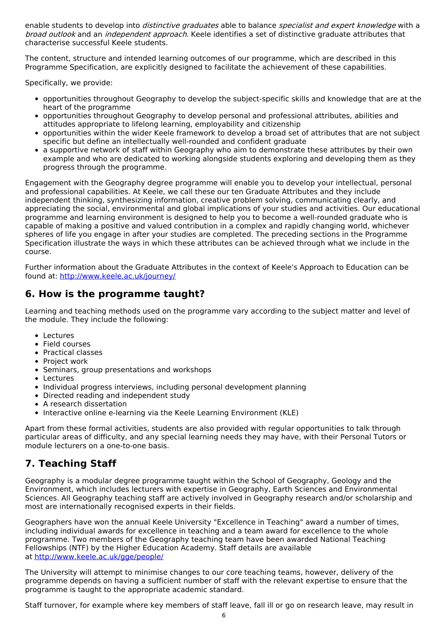enable students to develop into *distinctive graduates* able to balance specialist and expert knowledae with a broad outlook and an independent approach. Keele identifies a set of distinctive graduate attributes that characterise successful Keele students.

The content, structure and intended learning outcomes of our programme, which are described in this Programme Specification, are explicitly designed to facilitate the achievement of these capabilities.

Specifically, we provide:

- opportunities throughout Geography to develop the subject-specific skills and knowledge that are at the heart of the programme
- opportunities throughout Geography to develop personal and professional attributes, abilities and attitudes appropriate to lifelong learning, employability and citizenship
- opportunities within the wider Keele framework to develop a broad set of attributes that are not subject specific but define an intellectually well-rounded and confident graduate
- a supportive network of staff within Geography who aim to demonstrate these attributes by their own example and who are dedicated to working alongside students exploring and developing them as they progress through the programme.

Engagement with the Geography degree programme will enable you to develop your intellectual, personal and professional capabilities. At Keele, we call these our ten Graduate Attributes and they include independent thinking, synthesizing information, creative problem solving, communicating clearly, and appreciating the social, environmental and global implications of your studies and activities. Our educational programme and learning environment is designed to help you to become a well-rounded graduate who is capable of making a positive and valued contribution in a complex and rapidly changing world, whichever spheres of life you engage in after your studies are completed. The preceding sections in the Programme Specification illustrate the ways in which these attributes can be achieved through what we include in the course.

Further information about the Graduate Attributes in the context of Keele's Approach to Education can be found at: <http://www.keele.ac.uk/journey/>

## **6. How is the programme taught?**

Learning and teaching methods used on the programme vary according to the subject matter and level of the module. They include the following:

- Lectures
- Field courses
- Practical classes
- Project work
- Seminars, group presentations and workshops
- Lectures
- Individual progress interviews, including personal development planning
- Directed reading and independent study
- A research dissertation
- Interactive online e-learning via the Keele Learning Environment (KLE)

Apart from these formal activities, students are also provided with regular opportunities to talk through particular areas of difficulty, and any special learning needs they may have, with their Personal Tutors or module lecturers on a one-to-one basis.

## **7. Teaching Staff**

Geography is a modular degree programme taught within the School of Geography, Geology and the Environment, which includes lecturers with expertise in Geography, Earth Sciences and Environmental Sciences. All Geography teaching staff are actively involved in Geography research and/or scholarship and most are internationally recognised experts in their fields.

Geographers have won the annual Keele University "Excellence in Teaching" award a number of times, including individual awards for excellence in teaching and a team award for excellence to the whole programme. Two members of the Geography teaching team have been awarded National Teaching Fellowships (NTF) by the Higher Education Academy. Staff details are available at <http://www.keele.ac.uk/gge/people/>

The University will attempt to minimise changes to our core teaching teams, however, delivery of the programme depends on having a sufficient number of staff with the relevant expertise to ensure that the programme is taught to the appropriate academic standard.

Staff turnover, for example where key members of staff leave, fall ill or go on research leave, may result in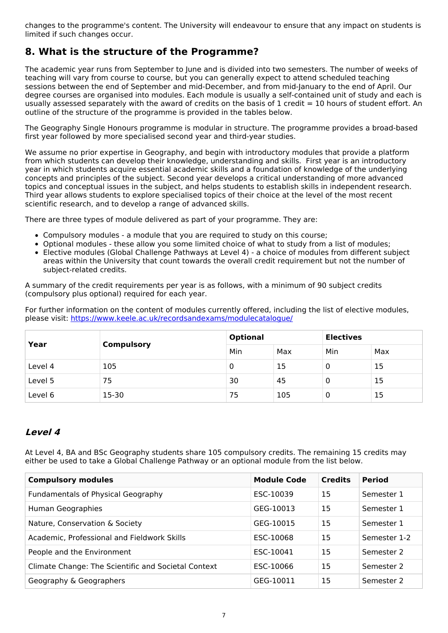changes to the programme's content. The University will endeavour to ensure that any impact on students is limited if such changes occur.

## **8. What is the structure of the Programme?**

The academic year runs from September to June and is divided into two semesters. The number of weeks of teaching will vary from course to course, but you can generally expect to attend scheduled teaching sessions between the end of September and mid-December, and from mid-January to the end of April. Our degree courses are organised into modules. Each module is usually a self-contained unit of study and each is usually assessed separately with the award of credits on the basis of 1 credit = 10 hours of student effort. An outline of the structure of the programme is provided in the tables below.

The Geography Single Honours programme is modular in structure. The programme provides a broad-based first year followed by more specialised second year and third-year studies.

We assume no prior expertise in Geography, and begin with introductory modules that provide a platform from which students can develop their knowledge, understanding and skills. First year is an introductory year in which students acquire essential academic skills and a foundation of knowledge of the underlying concepts and principles of the subject. Second year develops a critical understanding of more advanced topics and conceptual issues in the subject, and helps students to establish skills in independent research. Third year allows students to explore specialised topics of their choice at the level of the most recent scientific research, and to develop a range of advanced skills.

There are three types of module delivered as part of your programme. They are:

- Compulsory modules a module that you are required to study on this course;
- Optional modules these allow you some limited choice of what to study from a list of modules;
- Elective modules (Global Challenge Pathways at Level 4) a choice of modules from different subject areas within the University that count towards the overall credit requirement but not the number of subject-related credits.

A summary of the credit requirements per year is as follows, with a minimum of 90 subject credits (compulsory plus optional) required for each year.

For further information on the content of modules currently offered, including the list of elective modules, please visit: <https://www.keele.ac.uk/recordsandexams/modulecatalogue/>

| Year    | <b>Compulsory</b> | <b>Optional</b> |     | <b>Electives</b> |     |
|---------|-------------------|-----------------|-----|------------------|-----|
|         |                   | Min             | Max | Min              | Max |
| Level 4 | 105               | 0               | 15  |                  | 15  |
| Level 5 | 75                | 30              | 45  |                  | 15  |
| Level 6 | $15 - 30$         | 75              | 105 |                  | 15  |

## **Level 4**

At Level 4, BA and BSc Geography students share 105 compulsory credits. The remaining 15 credits may either be used to take a Global Challenge Pathway or an optional module from the list below.

| <b>Compulsory modules</b>                           | <b>Module Code</b> | <b>Credits</b> | <b>Period</b> |
|-----------------------------------------------------|--------------------|----------------|---------------|
| <b>Fundamentals of Physical Geography</b>           | ESC-10039          | 15             | Semester 1    |
| Human Geographies                                   | GEG-10013          | 15             | Semester 1    |
| Nature, Conservation & Society                      | GEG-10015          | 15             | Semester 1    |
| Academic, Professional and Fieldwork Skills         | ESC-10068          | 15             | Semester 1-2  |
| People and the Environment                          | ESC-10041          | 15             | Semester 2    |
| Climate Change: The Scientific and Societal Context | ESC-10066          | 15             | Semester 2    |
| Geography & Geographers                             | GEG-10011          | 15             | Semester 2    |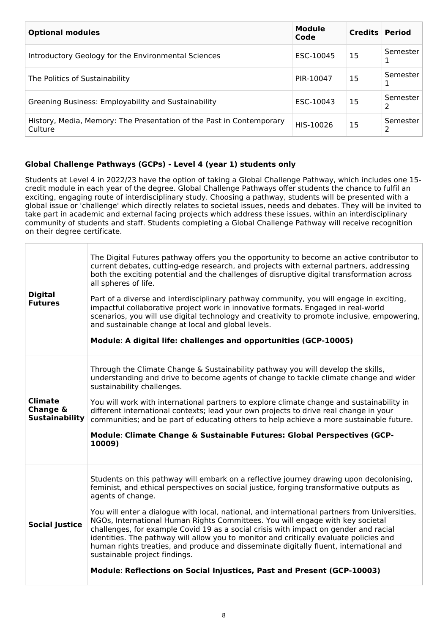| <b>Optional modules</b>                                                         | <b>Module</b><br>Code | <b>Credits Period</b> |               |
|---------------------------------------------------------------------------------|-----------------------|-----------------------|---------------|
| Introductory Geology for the Environmental Sciences                             | ESC-10045             | 15                    | Semester      |
| The Politics of Sustainability                                                  | PIR-10047             | 15                    | Semester      |
| Greening Business: Employability and Sustainability                             | ESC-10043             | 15                    | Semester<br>2 |
| History, Media, Memory: The Presentation of the Past in Contemporary<br>Culture | HIS-10026             | 15                    | Semester      |

### **Global Challenge Pathways (GCPs) - Level 4 (year 1) students only**

Students at Level 4 in 2022/23 have the option of taking a Global Challenge Pathway, which includes one 15 credit module in each year of the degree. Global Challenge Pathways offer students the chance to fulfil an exciting, engaging route of interdisciplinary study. Choosing a pathway, students will be presented with a global issue or 'challenge' which directly relates to societal issues, needs and debates. They will be invited to take part in academic and external facing projects which address these issues, within an interdisciplinary community of students and staff. Students completing a Global Challenge Pathway will receive recognition on their degree certificate.

| <b>Digital</b><br><b>Futures</b>                    | The Digital Futures pathway offers you the opportunity to become an active contributor to<br>current debates, cutting-edge research, and projects with external partners, addressing<br>both the exciting potential and the challenges of disruptive digital transformation across<br>all spheres of life.<br>Part of a diverse and interdisciplinary pathway community, you will engage in exciting,<br>impactful collaborative project work in innovative formats. Engaged in real-world<br>scenarios, you will use digital technology and creativity to promote inclusive, empowering,<br>and sustainable change at local and global levels.<br>Module: A digital life: challenges and opportunities (GCP-10005)                                                               |
|-----------------------------------------------------|-----------------------------------------------------------------------------------------------------------------------------------------------------------------------------------------------------------------------------------------------------------------------------------------------------------------------------------------------------------------------------------------------------------------------------------------------------------------------------------------------------------------------------------------------------------------------------------------------------------------------------------------------------------------------------------------------------------------------------------------------------------------------------------|
| <b>Climate</b><br>Change &<br><b>Sustainability</b> | Through the Climate Change & Sustainability pathway you will develop the skills,<br>understanding and drive to become agents of change to tackle climate change and wider<br>sustainability challenges.<br>You will work with international partners to explore climate change and sustainability in<br>different international contexts; lead your own projects to drive real change in your<br>communities; and be part of educating others to help achieve a more sustainable future.<br>Module: Climate Change & Sustainable Futures: Global Perspectives (GCP-<br>10009)                                                                                                                                                                                                     |
| <b>Social Justice</b>                               | Students on this pathway will embark on a reflective journey drawing upon decolonising,<br>feminist, and ethical perspectives on social justice, forging transformative outputs as<br>agents of change.<br>You will enter a dialogue with local, national, and international partners from Universities,<br>NGOs, International Human Rights Committees. You will engage with key societal<br>challenges, for example Covid 19 as a social crisis with impact on gender and racial<br>identities. The pathway will allow you to monitor and critically evaluate policies and<br>human rights treaties, and produce and disseminate digitally fluent, international and<br>sustainable project findings.<br>Module: Reflections on Social Injustices, Past and Present (GCP-10003) |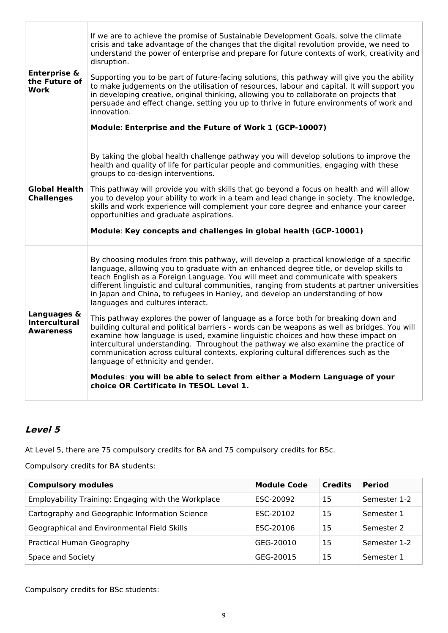| <b>Enterprise &amp;</b><br>the Future of<br><b>Work</b> | If we are to achieve the promise of Sustainable Development Goals, solve the climate<br>crisis and take advantage of the changes that the digital revolution provide, we need to<br>understand the power of enterprise and prepare for future contexts of work, creativity and<br>disruption.<br>Supporting you to be part of future-facing solutions, this pathway will give you the ability<br>to make judgements on the utilisation of resources, labour and capital. It will support you<br>in developing creative, original thinking, allowing you to collaborate on projects that<br>persuade and effect change, setting you up to thrive in future environments of work and<br>innovation.<br>Module: Enterprise and the Future of Work 1 (GCP-10007)                                                                                                                                                                                                                                                                                                                                                   |
|---------------------------------------------------------|----------------------------------------------------------------------------------------------------------------------------------------------------------------------------------------------------------------------------------------------------------------------------------------------------------------------------------------------------------------------------------------------------------------------------------------------------------------------------------------------------------------------------------------------------------------------------------------------------------------------------------------------------------------------------------------------------------------------------------------------------------------------------------------------------------------------------------------------------------------------------------------------------------------------------------------------------------------------------------------------------------------------------------------------------------------------------------------------------------------|
| Global Health<br><b>Challenges</b>                      | By taking the global health challenge pathway you will develop solutions to improve the<br>health and quality of life for particular people and communities, engaging with these<br>groups to co-design interventions.<br>This pathway will provide you with skills that go beyond a focus on health and will allow<br>you to develop your ability to work in a team and lead change in society. The knowledge,<br>skills and work experience will complement your core degree and enhance your career<br>opportunities and graduate aspirations.<br>Module: Key concepts and challenges in global health (GCP-10001)                                                                                                                                                                                                                                                                                                                                                                                                                                                                                          |
| Languages &<br><b>Intercultural</b><br><b>Awareness</b> | By choosing modules from this pathway, will develop a practical knowledge of a specific<br>language, allowing you to graduate with an enhanced degree title, or develop skills to<br>teach English as a Foreign Language. You will meet and communicate with speakers<br>different linguistic and cultural communities, ranging from students at partner universities<br>in Japan and China, to refugees in Hanley, and develop an understanding of how<br>languages and cultures interact.<br>This pathway explores the power of language as a force both for breaking down and<br>building cultural and political barriers - words can be weapons as well as bridges. You will<br>examine how language is used, examine linguistic choices and how these impact on<br>intercultural understanding. Throughout the pathway we also examine the practice of<br>communication across cultural contexts, exploring cultural differences such as the<br>language of ethnicity and gender.<br>Modules: you will be able to select from either a Modern Language of your<br>choice OR Certificate in TESOL Level 1. |

## **Level 5**

At Level 5, there are 75 compulsory credits for BA and 75 compulsory credits for BSc.

Compulsory credits for BA students:

| <b>Compulsory modules</b>                           | <b>Module Code</b> | <b>Credits</b> | <b>Period</b> |
|-----------------------------------------------------|--------------------|----------------|---------------|
| Employability Training: Engaging with the Workplace | ESC-20092          | 15             | Semester 1-2  |
| Cartography and Geographic Information Science      | ESC-20102          | 15             | Semester 1    |
| Geographical and Environmental Field Skills         | ESC-20106          | 15             | Semester 2    |
| Practical Human Geography                           | GEG-20010          | 15             | Semester 1-2  |
| Space and Society                                   | GEG-20015          | 15             | Semester 1    |

Compulsory credits for BSc students: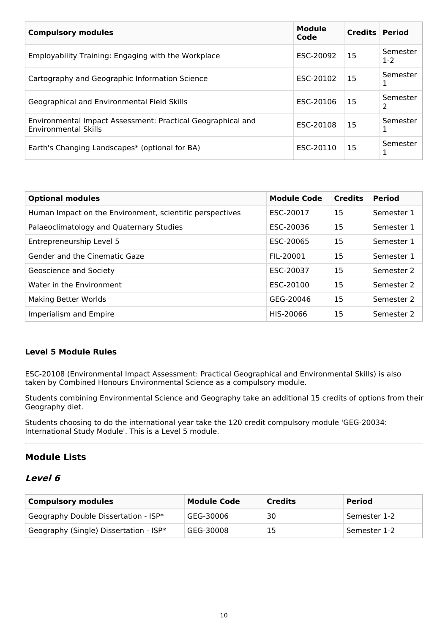| <b>Compulsory modules</b>                                                                  | <b>Module</b><br>Code | <b>Credits Period</b> |                   |
|--------------------------------------------------------------------------------------------|-----------------------|-----------------------|-------------------|
| Employability Training: Engaging with the Workplace                                        | ESC-20092             | 15                    | Semester<br>$1-2$ |
| Cartography and Geographic Information Science                                             | ESC-20102             | 15                    | Semester          |
| Geographical and Environmental Field Skills                                                | ESC-20106             | 15                    | Semester          |
| Environmental Impact Assessment: Practical Geographical and<br><b>Environmental Skills</b> | ESC-20108             | 15                    | Semester          |
| Earth's Changing Landscapes* (optional for BA)                                             | ESC-20110             | 15                    | Semester          |

| <b>Optional modules</b>                                  | <b>Module Code</b> | <b>Credits</b> | <b>Period</b> |
|----------------------------------------------------------|--------------------|----------------|---------------|
| Human Impact on the Environment, scientific perspectives | ESC-20017          | 15             | Semester 1    |
| Palaeoclimatology and Quaternary Studies                 | ESC-20036          | 15             | Semester 1    |
| Entrepreneurship Level 5                                 | ESC-20065          | 15             | Semester 1    |
| Gender and the Cinematic Gaze                            | FIL-20001          | 15             | Semester 1    |
| Geoscience and Society                                   | ESC-20037          | 15             | Semester 2    |
| Water in the Environment                                 | ESC-20100          | 15             | Semester 2    |
| Making Better Worlds                                     | GEG-20046          | 15             | Semester 2    |
| Imperialism and Empire                                   | HIS-20066          | 15             | Semester 2    |

### **Level 5 Module Rules**

ESC-20108 (Environmental Impact Assessment: Practical Geographical and Environmental Skills) is also taken by Combined Honours Environmental Science as a compulsory module.

Students combining Environmental Science and Geography take an additional 15 credits of options from their Geography diet.

Students choosing to do the international year take the 120 credit compulsory module 'GEG-20034: International Study Module'. This is a Level 5 module.

## **Module Lists**

## **Level 6**

| <b>Compulsory modules</b>              | <b>Module Code</b> | <b>Credits</b> | <b>Period</b> |
|----------------------------------------|--------------------|----------------|---------------|
| Geography Double Dissertation - ISP*   | GEG-30006          | 30             | Semester 1-2  |
| Geography (Single) Dissertation - ISP* | GEG-30008          | 15             | Semester 1-2  |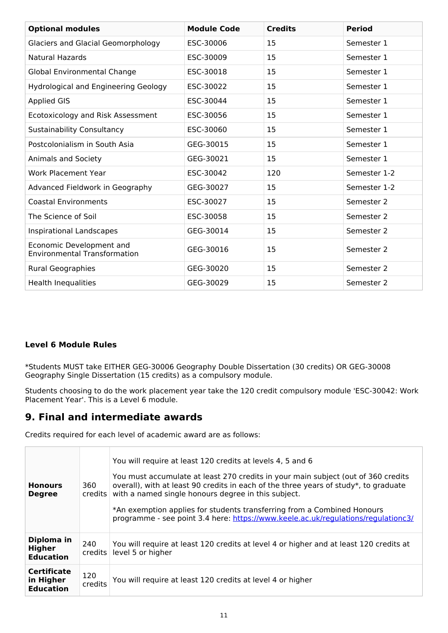| <b>Optional modules</b>                                         | <b>Module Code</b> | <b>Credits</b> | <b>Period</b> |
|-----------------------------------------------------------------|--------------------|----------------|---------------|
| <b>Glaciers and Glacial Geomorphology</b>                       | ESC-30006          | 15             | Semester 1    |
| <b>Natural Hazards</b>                                          | ESC-30009          | 15             | Semester 1    |
| Global Environmental Change                                     | ESC-30018          | 15             | Semester 1    |
| <b>Hydrological and Engineering Geology</b>                     | ESC-30022          | 15             | Semester 1    |
| <b>Applied GIS</b>                                              | ESC-30044          | 15             | Semester 1    |
| Ecotoxicology and Risk Assessment                               | ESC-30056          | 15             | Semester 1    |
| <b>Sustainability Consultancy</b>                               | ESC-30060          | 15             | Semester 1    |
| Postcolonialism in South Asia                                   | GEG-30015          | 15             | Semester 1    |
| Animals and Society                                             | GEG-30021          | 15             | Semester 1    |
| <b>Work Placement Year</b>                                      | ESC-30042          | 120            | Semester 1-2  |
| Advanced Fieldwork in Geography                                 | GEG-30027          | 15             | Semester 1-2  |
| <b>Coastal Environments</b>                                     | ESC-30027          | 15             | Semester 2    |
| The Science of Soil                                             | ESC-30058          | 15             | Semester 2    |
| Inspirational Landscapes                                        | GEG-30014          | 15             | Semester 2    |
| Economic Development and<br><b>Environmental Transformation</b> | GEG-30016          | 15             | Semester 2    |
| Rural Geographies                                               | GEG-30020          | 15             | Semester 2    |
| <b>Health Inequalities</b>                                      | GEG-30029          | 15             | Semester 2    |

## **Level 6 Module Rules**

\*Students MUST take EITHER GEG-30006 Geography Double Dissertation (30 credits) OR GEG-30008 Geography Single Dissertation (15 credits) as a compulsory module.

Students choosing to do the work placement year take the 120 credit compulsory module 'ESC-30042: Work Placement Year'. This is a Level 6 module.

## **9. Final and intermediate awards**

Credits required for each level of academic award are as follows:

| <b>Honours</b><br><b>Degree</b>                     | 360<br>credits   | You will require at least 120 credits at levels 4, 5 and 6<br>You must accumulate at least 270 credits in your main subject (out of 360 credits<br>overall), with at least 90 credits in each of the three years of study*, to graduate<br>with a named single honours degree in this subject.<br>*An exemption applies for students transferring from a Combined Honours<br>programme - see point 3.4 here: https://www.keele.ac.uk/regulations/regulationc3/ |
|-----------------------------------------------------|------------------|----------------------------------------------------------------------------------------------------------------------------------------------------------------------------------------------------------------------------------------------------------------------------------------------------------------------------------------------------------------------------------------------------------------------------------------------------------------|
| Diploma in<br>Higher<br><b>Education</b>            | 240<br>credits l | You will require at least 120 credits at level 4 or higher and at least 120 credits at<br>level 5 or higher                                                                                                                                                                                                                                                                                                                                                    |
| <b>Certificate</b><br>in Higher<br><b>Education</b> | 120<br>credits   | You will require at least 120 credits at level 4 or higher                                                                                                                                                                                                                                                                                                                                                                                                     |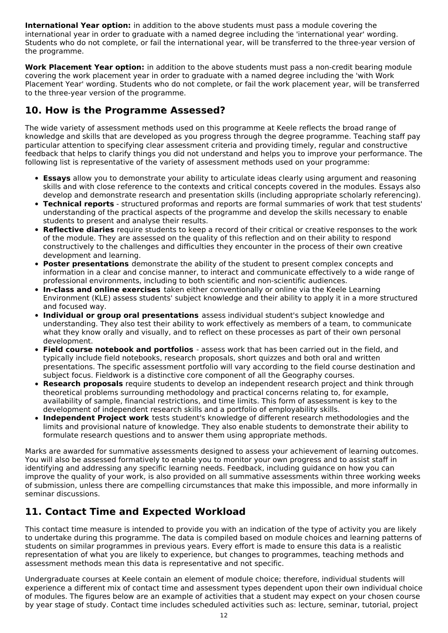**International Year option:** in addition to the above students must pass a module covering the international year in order to graduate with a named degree including the 'international year' wording. Students who do not complete, or fail the international year, will be transferred to the three-year version of the programme.

**Work Placement Year option:** in addition to the above students must pass a non-credit bearing module covering the work placement year in order to graduate with a named degree including the 'with Work Placement Year' wording. Students who do not complete, or fail the work placement year, will be transferred to the three-year version of the programme.

## **10. How is the Programme Assessed?**

The wide variety of assessment methods used on this programme at Keele reflects the broad range of knowledge and skills that are developed as you progress through the degree programme. Teaching staff pay particular attention to specifying clear assessment criteria and providing timely, regular and constructive feedback that helps to clarify things you did not understand and helps you to improve your performance. The following list is representative of the variety of assessment methods used on your programme:

- **Essays** allow you to demonstrate your ability to articulate ideas clearly using argument and reasoning skills and with close reference to the contexts and critical concepts covered in the modules. Essays also develop and demonstrate research and presentation skills (including appropriate scholarly referencing).
- **Technical reports** structured proformas and reports are formal summaries of work that test students' understanding of the practical aspects of the programme and develop the skills necessary to enable students to present and analyse their results.
- **Reflective diaries** require students to keep a record of their critical or creative responses to the work of the module. They are assessed on the quality of this reflection and on their ability to respond constructively to the challenges and difficulties they encounter in the process of their own creative development and learning.
- **Poster presentations** demonstrate the ability of the student to present complex concepts and information in a clear and concise manner, to interact and communicate effectively to a wide range of professional environments, including to both scientific and non-scientific audiences.
- **In-class and online exercises** taken either conventionally or online via the Keele Learning Environment (KLE) assess students' subject knowledge and their ability to apply it in a more structured and focused way.
- **Individual or group oral presentations** assess individual student's subject knowledge and understanding. They also test their ability to work effectively as members of a team, to communicate what they know orally and visually, and to reflect on these processes as part of their own personal development.
- **Field course notebook and portfolios** assess work that has been carried out in the field, and typically include field notebooks, research proposals, short quizzes and both oral and written presentations. The specific assessment portfolio will vary according to the field course destination and subject focus. Fieldwork is a distinctive core component of all the Geography courses.
- **Research proposals** require students to develop an independent research project and think through theoretical problems surrounding methodology and practical concerns relating to, for example, availability of sample, financial restrictions, and time limits. This form of assessment is key to the development of independent research skills and a portfolio of employability skills.
- **Independent Project work** tests student's knowledge of different research methodologies and the limits and provisional nature of knowledge. They also enable students to demonstrate their ability to formulate research questions and to answer them using appropriate methods.

Marks are awarded for summative assessments designed to assess your achievement of learning outcomes. You will also be assessed formatively to enable you to monitor your own progress and to assist staff in identifying and addressing any specific learning needs. Feedback, including guidance on how you can improve the quality of your work, is also provided on all summative assessments within three working weeks of submission, unless there are compelling circumstances that make this impossible, and more informally in seminar discussions.

## **11. Contact Time and Expected Workload**

This contact time measure is intended to provide you with an indication of the type of activity you are likely to undertake during this programme. The data is compiled based on module choices and learning patterns of students on similar programmes in previous years. Every effort is made to ensure this data is a realistic representation of what you are likely to experience, but changes to programmes, teaching methods and assessment methods mean this data is representative and not specific.

Undergraduate courses at Keele contain an element of module choice; therefore, individual students will experience a different mix of contact time and assessment types dependent upon their own individual choice of modules. The figures below are an example of activities that a student may expect on your chosen course by year stage of study. Contact time includes scheduled activities such as: lecture, seminar, tutorial, project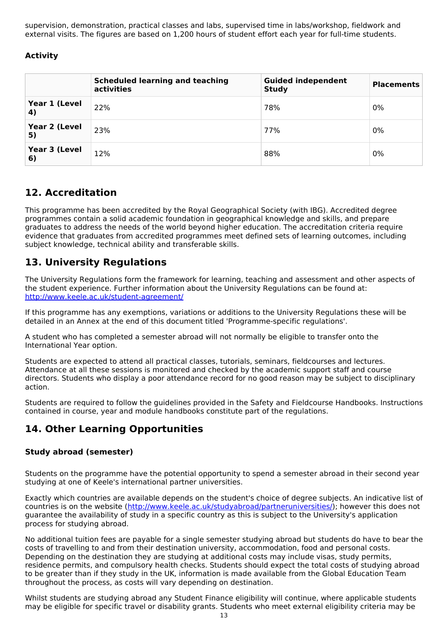supervision, demonstration, practical classes and labs, supervised time in labs/workshop, fieldwork and external visits. The figures are based on 1,200 hours of student effort each year for full-time students.

## **Activity**

|                     | <b>Scheduled learning and teaching</b><br>activities | <b>Guided independent</b><br><b>Study</b> | <b>Placements</b> |
|---------------------|------------------------------------------------------|-------------------------------------------|-------------------|
| Year 1 (Level<br>4) | 22%                                                  | 78%                                       | $0\%$             |
| Year 2 (Level<br>5) | 23%                                                  | 77%                                       | 0%                |
| Year 3 (Level<br>6) | 12%                                                  | 88%                                       | 0%                |

## **12. Accreditation**

This programme has been accredited by the Royal Geographical Society (with IBG). Accredited degree programmes contain a solid academic foundation in geographical knowledge and skills, and prepare graduates to address the needs of the world beyond higher education. The accreditation criteria require evidence that graduates from accredited programmes meet defined sets of learning outcomes, including subject knowledge, technical ability and transferable skills.

## **13. University Regulations**

The University Regulations form the framework for learning, teaching and assessment and other aspects of the student experience. Further information about the University Regulations can be found at: <http://www.keele.ac.uk/student-agreement/>

If this programme has any exemptions, variations or additions to the University Regulations these will be detailed in an Annex at the end of this document titled 'Programme-specific regulations'.

A student who has completed a semester abroad will not normally be eligible to transfer onto the International Year option.

Students are expected to attend all practical classes, tutorials, seminars, fieldcourses and lectures. Attendance at all these sessions is monitored and checked by the academic support staff and course directors. Students who display a poor attendance record for no good reason may be subject to disciplinary action.

Students are required to follow the guidelines provided in the Safety and Fieldcourse Handbooks. Instructions contained in course, year and module handbooks constitute part of the regulations.

## **14. Other Learning Opportunities**

### **Study abroad (semester)**

Students on the programme have the potential opportunity to spend a semester abroad in their second year studying at one of Keele's international partner universities.

Exactly which countries are available depends on the student's choice of degree subjects. An indicative list of countries is on the website (<http://www.keele.ac.uk/studyabroad/partneruniversities/>); however this does not guarantee the availability of study in a specific country as this is subject to the University's application process for studying abroad.

No additional tuition fees are payable for a single semester studying abroad but students do have to bear the costs of travelling to and from their destination university, accommodation, food and personal costs. Depending on the destination they are studying at additional costs may include visas, study permits, residence permits, and compulsory health checks. Students should expect the total costs of studying abroad to be greater than if they study in the UK, information is made available from the Global Education Team throughout the process, as costs will vary depending on destination.

Whilst students are studying abroad any Student Finance eligibility will continue, where applicable students may be eligible for specific travel or disability grants. Students who meet external eligibility criteria may be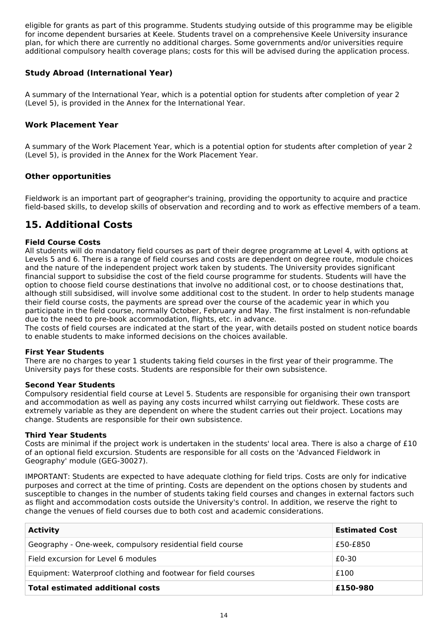eligible for grants as part of this programme. Students studying outside of this programme may be eligible for income dependent bursaries at Keele. Students travel on a comprehensive Keele University insurance plan, for which there are currently no additional charges. Some governments and/or universities require additional compulsory health coverage plans; costs for this will be advised during the application process.

### **Study Abroad (International Year)**

A summary of the International Year, which is a potential option for students after completion of year 2 (Level 5), is provided in the Annex for the International Year.

### **Work Placement Year**

A summary of the Work Placement Year, which is a potential option for students after completion of year 2 (Level 5), is provided in the Annex for the Work Placement Year.

### **Other opportunities**

Fieldwork is an important part of geographer's training, providing the opportunity to acquire and practice field-based skills, to develop skills of observation and recording and to work as effective members of a team.

## **15. Additional Costs**

### **Field Course Costs**

All students will do mandatory field courses as part of their degree programme at Level 4, with options at Levels 5 and 6. There is a range of field courses and costs are dependent on degree route, module choices and the nature of the independent project work taken by students. The University provides significant financial support to subsidise the cost of the field course programme for students. Students will have the option to choose field course destinations that involve no additional cost, or to choose destinations that, although still subsidised, will involve some additional cost to the student. In order to help students manage their field course costs, the payments are spread over the course of the academic year in which you participate in the field course, normally October, February and May. The first instalment is non-refundable due to the need to pre-book accommodation, flights, etc. in advance.

The costs of field courses are indicated at the start of the year, with details posted on student notice boards to enable students to make informed decisions on the choices available.

#### **First Year Students**

There are no charges to year 1 students taking field courses in the first year of their programme. The University pays for these costs. Students are responsible for their own subsistence.

#### **Second Year Students**

Compulsory residential field course at Level 5. Students are responsible for organising their own transport and accommodation as well as paying any costs incurred whilst carrying out fieldwork. These costs are extremely variable as they are dependent on where the student carries out their project. Locations may change. Students are responsible for their own subsistence.

#### **Third Year Students**

Costs are minimal if the project work is undertaken in the students' local area. There is also a charge of £10 of an optional field excursion. Students are responsible for all costs on the 'Advanced Fieldwork in Geography' module (GEG-30027).

IMPORTANT: Students are expected to have adequate clothing for field trips. Costs are only for indicative purposes and correct at the time of printing. Costs are dependent on the options chosen by students and susceptible to changes in the number of students taking field courses and changes in external factors such as flight and accommodation costs outside the University's control. In addition, we reserve the right to change the venues of field courses due to both cost and academic considerations.

| <b>Activity</b>                                               | <b>Estimated Cost</b> |
|---------------------------------------------------------------|-----------------------|
| Geography - One-week, compulsory residential field course     | £50-£850              |
| Field excursion for Level 6 modules                           | £0-30                 |
| Equipment: Waterproof clothing and footwear for field courses | £100                  |
| <b>Total estimated additional costs</b>                       | £150-980              |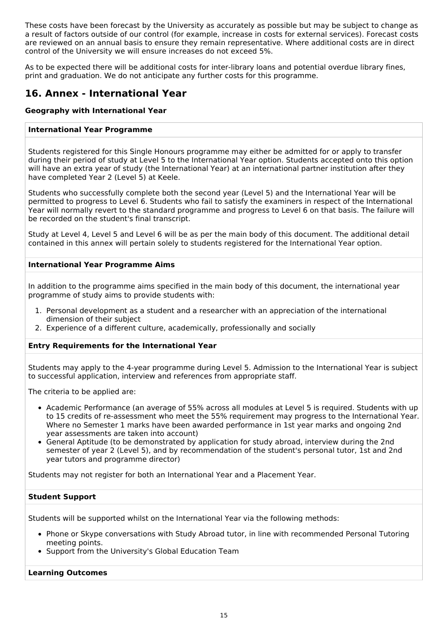These costs have been forecast by the University as accurately as possible but may be subject to change as a result of factors outside of our control (for example, increase in costs for external services). Forecast costs are reviewed on an annual basis to ensure they remain representative. Where additional costs are in direct control of the University we will ensure increases do not exceed 5%.

As to be expected there will be additional costs for inter-library loans and potential overdue library fines, print and graduation. We do not anticipate any further costs for this programme.

## **16. Annex - International Year**

### **Geography with International Year**

#### **International Year Programme**

Students registered for this Single Honours programme may either be admitted for or apply to transfer during their period of study at Level 5 to the International Year option. Students accepted onto this option will have an extra year of study (the International Year) at an international partner institution after they have completed Year 2 (Level 5) at Keele.

Students who successfully complete both the second year (Level 5) and the International Year will be permitted to progress to Level 6. Students who fail to satisfy the examiners in respect of the International Year will normally revert to the standard programme and progress to Level 6 on that basis. The failure will be recorded on the student's final transcript.

Study at Level 4, Level 5 and Level 6 will be as per the main body of this document. The additional detail contained in this annex will pertain solely to students registered for the International Year option.

### **International Year Programme Aims**

In addition to the programme aims specified in the main body of this document, the international year programme of study aims to provide students with:

- 1. Personal development as a student and a researcher with an appreciation of the international dimension of their subject
- 2. Experience of a different culture, academically, professionally and socially

#### **Entry Requirements for the International Year**

Students may apply to the 4-year programme during Level 5. Admission to the International Year is subject to successful application, interview and references from appropriate staff.

The criteria to be applied are:

- Academic Performance (an average of 55% across all modules at Level 5 is required. Students with up to 15 credits of re-assessment who meet the 55% requirement may progress to the International Year. Where no Semester 1 marks have been awarded performance in 1st year marks and ongoing 2nd year assessments are taken into account)
- General Aptitude (to be demonstrated by application for study abroad, interview during the 2nd semester of year 2 (Level 5), and by recommendation of the student's personal tutor, 1st and 2nd year tutors and programme director)

Students may not register for both an International Year and a Placement Year.

#### **Student Support**

Students will be supported whilst on the International Year via the following methods:

- Phone or Skype conversations with Study Abroad tutor, in line with recommended Personal Tutoring meeting points.
- Support from the University's Global Education Team

#### **Learning Outcomes**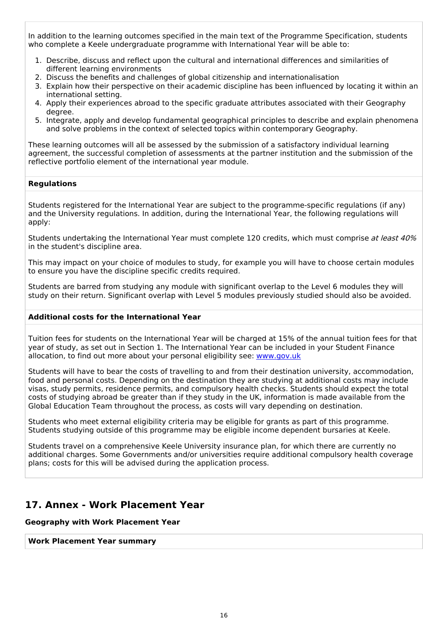In addition to the learning outcomes specified in the main text of the Programme Specification, students who complete a Keele undergraduate programme with International Year will be able to:

- 1. Describe, discuss and reflect upon the cultural and international differences and similarities of different learning environments
- 2. Discuss the benefits and challenges of global citizenship and internationalisation
- 3. Explain how their perspective on their academic discipline has been influenced by locating it within an international setting.
- 4. Apply their experiences abroad to the specific graduate attributes associated with their Geography degree.
- 5. Integrate, apply and develop fundamental geographical principles to describe and explain phenomena and solve problems in the context of selected topics within contemporary Geography.

These learning outcomes will all be assessed by the submission of a satisfactory individual learning agreement, the successful completion of assessments at the partner institution and the submission of the reflective portfolio element of the international year module.

#### **Regulations**

Students registered for the International Year are subject to the programme-specific regulations (if any) and the University regulations. In addition, during the International Year, the following regulations will apply:

Students undertaking the International Year must complete 120 credits, which must comprise at least 40% in the student's discipline area.

This may impact on your choice of modules to study, for example you will have to choose certain modules to ensure you have the discipline specific credits required.

Students are barred from studying any module with significant overlap to the Level 6 modules they will study on their return. Significant overlap with Level 5 modules previously studied should also be avoided.

#### **Additional costs for the International Year**

Tuition fees for students on the International Year will be charged at 15% of the annual tuition fees for that year of study, as set out in Section 1. The International Year can be included in your Student Finance allocation, to find out more about your personal eligibility see: [www.gov.uk](http://www.gov.uk/)

Students will have to bear the costs of travelling to and from their destination university, accommodation, food and personal costs. Depending on the destination they are studying at additional costs may include visas, study permits, residence permits, and compulsory health checks. Students should expect the total costs of studying abroad be greater than if they study in the UK, information is made available from the Global Education Team throughout the process, as costs will vary depending on destination.

Students who meet external eligibility criteria may be eligible for grants as part of this programme. Students studying outside of this programme may be eligible income dependent bursaries at Keele.

Students travel on a comprehensive Keele University insurance plan, for which there are currently no additional charges. Some Governments and/or universities require additional compulsory health coverage plans; costs for this will be advised during the application process.

## **17. Annex - Work Placement Year**

#### **Geography with Work Placement Year**

#### **Work Placement Year summary**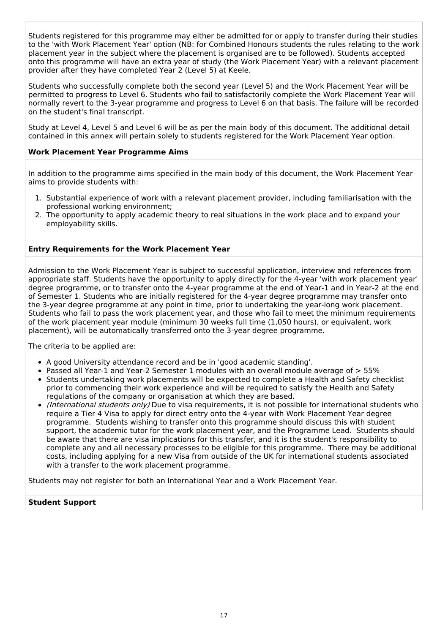Students registered for this programme may either be admitted for or apply to transfer during their studies to the 'with Work Placement Year' option (NB: for Combined Honours students the rules relating to the work placement year in the subject where the placement is organised are to be followed). Students accepted onto this programme will have an extra year of study (the Work Placement Year) with a relevant placement provider after they have completed Year 2 (Level 5) at Keele.

Students who successfully complete both the second year (Level 5) and the Work Placement Year will be permitted to progress to Level 6. Students who fail to satisfactorily complete the Work Placement Year will normally revert to the 3-year programme and progress to Level 6 on that basis. The failure will be recorded on the student's final transcript.

Study at Level 4, Level 5 and Level 6 will be as per the main body of this document. The additional detail contained in this annex will pertain solely to students registered for the Work Placement Year option.

#### **Work Placement Year Programme Aims**

In addition to the programme aims specified in the main body of this document, the Work Placement Year aims to provide students with:

- 1. Substantial experience of work with a relevant placement provider, including familiarisation with the professional working environment;
- 2. The opportunity to apply academic theory to real situations in the work place and to expand your employability skills.

#### **Entry Requirements for the Work Placement Year**

Admission to the Work Placement Year is subject to successful application, interview and references from appropriate staff. Students have the opportunity to apply directly for the 4-year 'with work placement year' degree programme, or to transfer onto the 4-year programme at the end of Year-1 and in Year-2 at the end of Semester 1. Students who are initially registered for the 4-year degree programme may transfer onto the 3-year degree programme at any point in time, prior to undertaking the year-long work placement. Students who fail to pass the work placement year, and those who fail to meet the minimum requirements of the work placement year module (minimum 30 weeks full time (1,050 hours), or equivalent, work placement), will be automatically transferred onto the 3-year degree programme.

The criteria to be applied are:

- A good University attendance record and be in 'good academic standing'.
- Passed all Year-1 and Year-2 Semester 1 modules with an overall module average of > 55%
- Students undertaking work placements will be expected to complete a Health and Safety checklist prior to commencing their work experience and will be required to satisfy the Health and Safety regulations of the company or organisation at which they are based.
- (International students only) Due to visa requirements, it is not possible for international students who require a Tier 4 Visa to apply for direct entry onto the 4-year with Work Placement Year degree programme. Students wishing to transfer onto this programme should discuss this with student support, the academic tutor for the work placement year, and the Programme Lead. Students should be aware that there are visa implications for this transfer, and it is the student's responsibility to complete any and all necessary processes to be eligible for this programme. There may be additional costs, including applying for a new Visa from outside of the UK for international students associated with a transfer to the work placement programme.

Students may not register for both an International Year and a Work Placement Year.

#### **Student Support**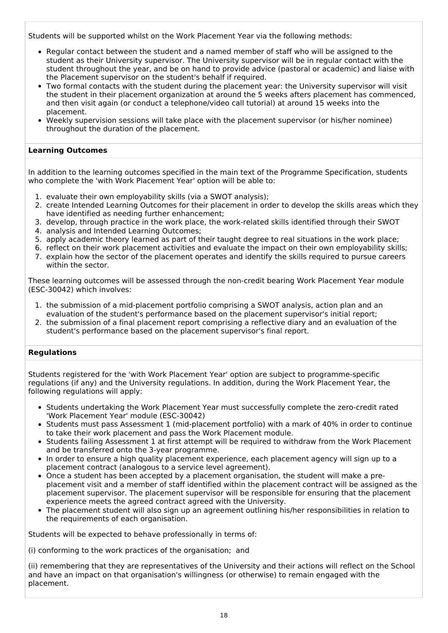Students will be supported whilst on the Work Placement Year via the following methods:

- Regular contact between the student and a named member of staff who will be assigned to the student as their University supervisor. The University supervisor will be in regular contact with the student throughout the year, and be on hand to provide advice (pastoral or academic) and liaise with the Placement supervisor on the student's behalf if required.
- Two formal contacts with the student during the placement year: the University supervisor will visit the student in their placement organization at around the 5 weeks afters placement has commenced, and then visit again (or conduct a telephone/video call tutorial) at around 15 weeks into the placement.
- Weekly supervision sessions will take place with the placement supervisor (or his/her nominee) throughout the duration of the placement.

### **Learning Outcomes**

In addition to the learning outcomes specified in the main text of the Programme Specification, students who complete the 'with Work Placement Year' option will be able to:

- 1. evaluate their own employability skills (via a SWOT analysis);
- 2. create Intended Learning Outcomes for their placement in order to develop the skills areas which they have identified as needing further enhancement;
- 3. develop, through practice in the work place, the work-related skills identified through their SWOT
- 4. analysis and Intended Learning Outcomes;
- 5. apply academic theory learned as part of their taught degree to real situations in the work place;
- 6. reflect on their work placement activities and evaluate the impact on their own employability skills;
- 7. explain how the sector of the placement operates and identify the skills required to pursue careers within the sector.

These learning outcomes will be assessed through the non-credit bearing Work Placement Year module (ESC-30042) which involves:

- 1. the submission of a mid-placement portfolio comprising a SWOT analysis, action plan and an evaluation of the student's performance based on the placement supervisor's initial report;
- 2. the submission of a final placement report comprising a reflective diary and an evaluation of the student's performance based on the placement supervisor's final report.

#### **Regulations**

Students registered for the 'with Work Placement Year' option are subject to programme-specific regulations (if any) and the University regulations. In addition, during the Work Placement Year, the following regulations will apply:

- Students undertaking the Work Placement Year must successfully complete the zero-credit rated 'Work Placement Year' module (ESC-30042)
- Students must pass Assessment 1 (mid-placement portfolio) with a mark of 40% in order to continue to take their work placement and pass the Work Placement module.
- Students failing Assessment 1 at first attempt will be required to withdraw from the Work Placement and be transferred onto the 3-year programme.
- In order to ensure a high quality placement experience, each placement agency will sign up to a placement contract (analogous to a service level agreement).
- Once a student has been accepted by a placement organisation, the student will make a preplacement visit and a member of staff identified within the placement contract will be assigned as the placement supervisor. The placement supervisor will be responsible for ensuring that the placement experience meets the agreed contract agreed with the University.
- The placement student will also sign up an agreement outlining his/her responsibilities in relation to the requirements of each organisation.

Students will be expected to behave professionally in terms of:

(i) conforming to the work practices of the organisation; and

(ii) remembering that they are representatives of the University and their actions will reflect on the School and have an impact on that organisation's willingness (or otherwise) to remain engaged with the placement.